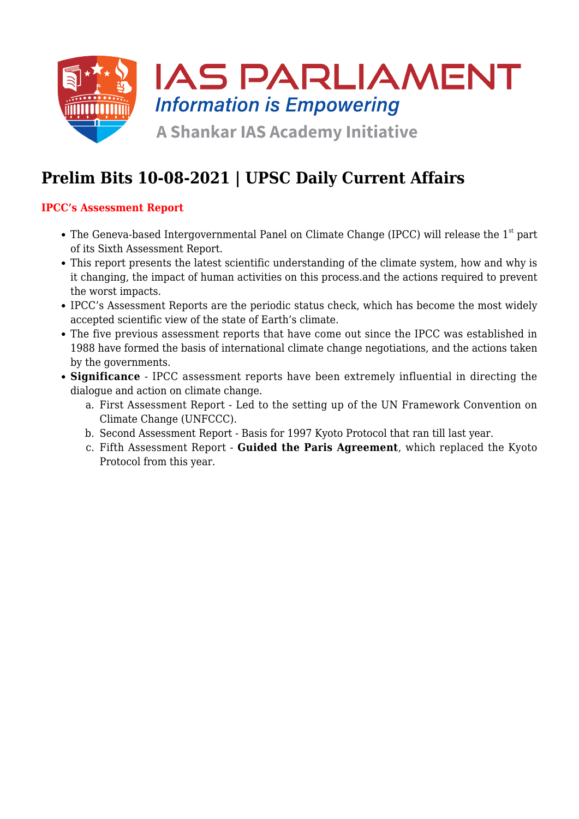

# **Prelim Bits 10-08-2021 | UPSC Daily Current Affairs**

## **IPCC's Assessment Report**

- $\bullet$  The Geneva-based Intergovernmental Panel on Climate Change (IPCC) will release the 1<sup>st</sup> part of its Sixth Assessment Report.
- This report presents the latest scientific understanding of the climate system, how and why is it changing, the impact of human activities on this process.and the actions required to prevent the worst impacts.
- IPCC's Assessment Reports are the periodic status check, which has become the most widely accepted scientific view of the state of Earth's climate.
- The five previous assessment reports that have come out since the IPCC was established in 1988 have formed the basis of international climate change negotiations, and the actions taken by the governments.
- **Significance** IPCC assessment reports have been extremely influential in directing the dialogue and action on climate change.
	- a. First Assessment Report Led to the setting up of the UN Framework Convention on Climate Change (UNFCCC).
	- b. Second Assessment Report Basis for 1997 Kyoto Protocol that ran till last year.
	- c. Fifth Assessment Report **Guided the Paris Agreement**, which replaced the Kyoto Protocol from this year.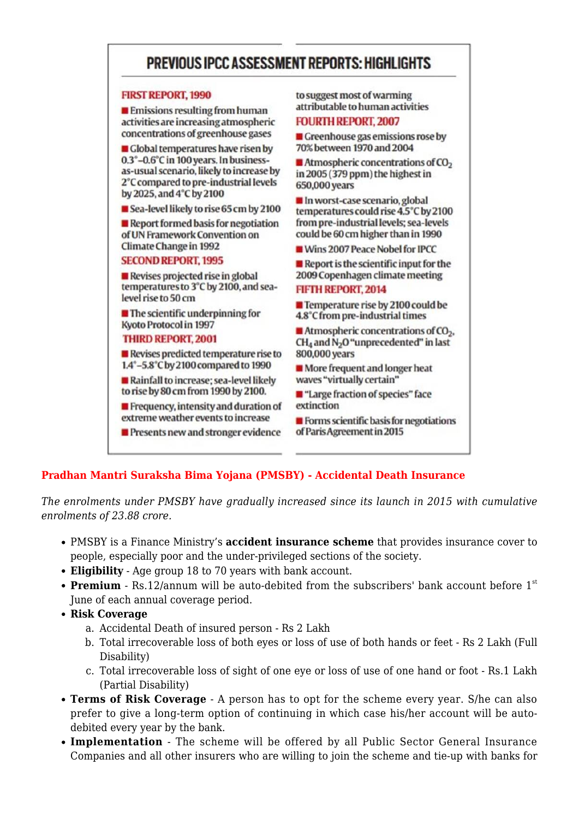## PREVIOUS IPCC ASSESSMENT REPORTS: HIGHLIGHTS

#### **FIRST REPORT, 1990**

 $\blacksquare$  Emissions resulting from human activities are increasing atmospheric concentrations of greenhouse gases

Global temperatures have risen by 0.3°-0.6°C in 100 years. In businessas-usual scenario, likely to increase by 2°C compared to pre-industrial levels by 2025, and 4°C by 2100

Sea-level likely to rise 65 cm by 2100

Report formed basis for negotiation of UN Framework Convention on **Climate Change in 1992** 

#### **SECOND REPORT, 1995**

Revises projected rise in global temperatures to 3°C by 2100, and sealevel rise to 50 cm

 $\blacksquare$  The scientific underpinning for **Kyoto Protocol in 1997** 

#### **THIRD REPORT, 2001**

 $\blacksquare$  Revises predicted temperature rise to 1.4°-5.8°C by 2100 compared to 1990

Rainfall to increase; sea-level likely to rise by 80 cm from 1990 by 2100.

 $\blacksquare$  Frequency, intensity and duration of extreme weather events to increase

Presents new and stronger evidence

to suggest most of warming attributable to human activities

#### **FOURTH REPORT, 2007**

**E** Greenhouse gas emissions rose by 70% between 1970 and 2004

 $\blacksquare$  Atmospheric concentrations of CO<sub>2</sub> in 2005 (379 ppm) the highest in 650,000 years

In worst-case scenario, global temperatures could rise 4.5°C by 2100 from pre-industrial levels; sea-levels could be 60 cm higher than in 1990

Wins 2007 Peace Nobel for IPCC

 $\blacksquare$  Report is the scientific input for the 2009 Copenhagen climate meeting

#### **FIFTH REPORT, 2014**

Temperature rise by 2100 could be 4.8°C from pre-industrial times

 $\blacksquare$  Atmospheric concentrations of CO<sub>2</sub>. CH<sub>4</sub> and N<sub>2</sub>O "unprecedented" in last 800,000 years

More frequent and longer heat waves "virtually certain"

■ "Large fraction of species" face extinction

 $\blacksquare$  Forms scientific basis for negotiations of Paris Agreement in 2015

### **Pradhan Mantri Suraksha Bima Yojana (PMSBY) - Accidental Death Insurance**

*The enrolments under PMSBY have gradually increased since its launch in 2015 with cumulative enrolments of 23.88 crore.*

- PMSBY is a Finance Ministry's **accident insurance scheme** that provides insurance cover to people, especially poor and the under-privileged sections of the society.
- **Eligibility** Age group 18 to 70 years with bank account.
- **Premium** Rs.12/annum will be auto-debited from the subscribers' bank account before 1<sup>st</sup> June of each annual coverage period.
- **Risk Coverage**
	- a. Accidental Death of insured person Rs 2 Lakh
	- b. Total irrecoverable loss of both eyes or loss of use of both hands or feet Rs 2 Lakh (Full Disability)
	- c. Total irrecoverable loss of sight of one eye or loss of use of one hand or foot Rs.1 Lakh (Partial Disability)
- **Terms of Risk Coverage** A person has to opt for the scheme every year. S/he can also prefer to give a long-term option of continuing in which case his/her account will be autodebited every year by the bank.
- **Implementation** The scheme will be offered by all Public Sector General Insurance Companies and all other insurers who are willing to join the scheme and tie-up with banks for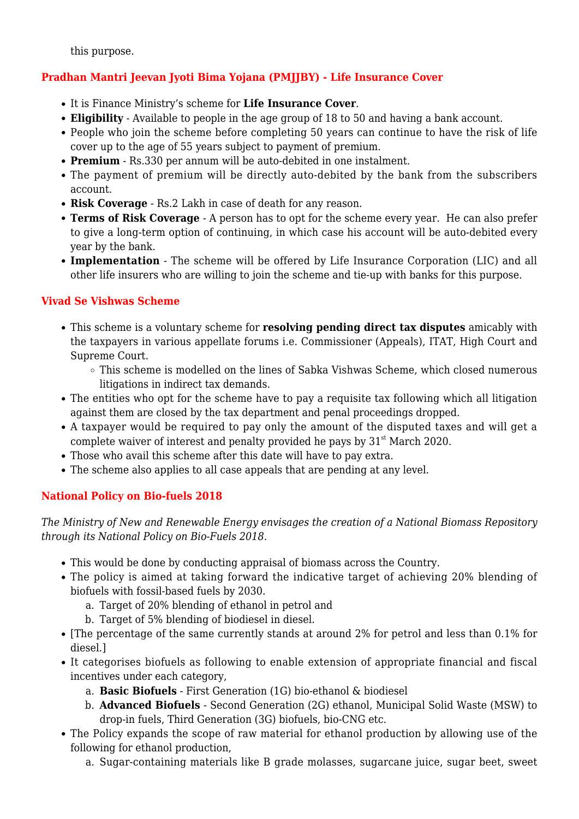this purpose.

## **Pradhan Mantri Jeevan Jyoti Bima Yojana (PMJJBY) - Life Insurance Cover**

- It is Finance Ministry's scheme for **Life Insurance Cover**.
- **Eligibility** Available to people in the age group of 18 to 50 and having a bank account.
- People who join the scheme before completing 50 years can continue to have the risk of life cover up to the age of 55 years subject to payment of premium.
- **Premium** Rs.330 per annum will be auto-debited in one instalment.
- The payment of premium will be directly auto-debited by the bank from the subscribers account.
- **Risk Coverage** Rs.2 Lakh in case of death for any reason.
- **Terms of Risk Coverage** A person has to opt for the scheme every year. He can also prefer to give a long-term option of continuing, in which case his account will be auto-debited every year by the bank.
- **Implementation** The scheme will be offered by Life Insurance Corporation (LIC) and all other life insurers who are willing to join the scheme and tie-up with banks for this purpose.

## **Vivad Se Vishwas Scheme**

- This scheme is a voluntary scheme for **resolving pending direct tax disputes** amicably with the taxpayers in various appellate forums i.e. Commissioner (Appeals), ITAT, High Court and Supreme Court.
	- This scheme is modelled on the lines of Sabka Vishwas Scheme, which closed numerous litigations in indirect tax demands.
- The entities who opt for the scheme have to pay a requisite tax following which all litigation against them are closed by the tax department and penal proceedings dropped.
- A taxpayer would be required to pay only the amount of the disputed taxes and will get a complete waiver of interest and penalty provided he pays by  $31<sup>st</sup>$  March 2020.
- Those who avail this scheme after this date will have to pay extra.
- The scheme also applies to all case appeals that are pending at any level.

## **National Policy on Bio-fuels 2018**

*The Ministry of New and Renewable Energy envisages the creation of a National Biomass Repository through its National Policy on Bio-Fuels 2018.*

- This would be done by conducting appraisal of biomass across the Country.
- The policy is aimed at taking forward the indicative target of achieving 20% blending of biofuels with fossil-based fuels by 2030.
	- a. Target of 20% blending of ethanol in petrol and
	- b. Target of 5% blending of biodiesel in diesel.
- [The percentage of the same currently stands at around 2% for petrol and less than 0.1% for diesel.]
- It categorises biofuels as following to enable extension of appropriate financial and fiscal incentives under each category,
	- a. **Basic Biofuels** First Generation (1G) bio-ethanol & biodiesel
	- b. **Advanced Biofuels** Second Generation (2G) ethanol, Municipal Solid Waste (MSW) to drop-in fuels, Third Generation (3G) biofuels, bio-CNG etc.
- The Policy expands the scope of raw material for ethanol production by allowing use of the following for ethanol production,
	- a. Sugar-containing materials like B grade molasses, sugarcane juice, sugar beet, sweet